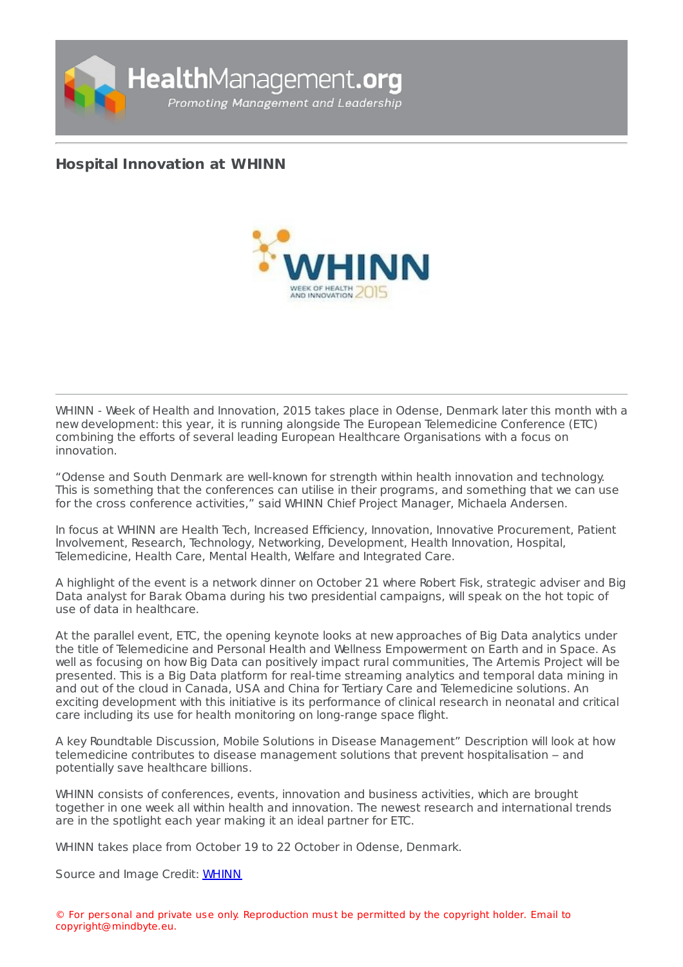

## **Hospital [Innovation](https://healthmanagement.org/s/hospital-innovation-at-whinn) at WHINN**



WHINN - Week of Health and Innovation, 2015 takes place in Odense, Denmark later this month with a new development: this year, it is running alongside The European Telemedicine Conference (ETC) combining the efforts of several leading European Healthcare Organisations with a focus on innovation.

"Odense and South Denmark are well-known for strength within health innovation and technology. This is something that the conferences can utilise in their programs, and something that we can use for the cross conference activities," said WHINN Chief Project Manager, Michaela Andersen.

In focus at WHINN are Health Tech, Increased Efficiency, Innovation, Innovative Procurement, Patient Involvement, Research, Technology, Networking, Development, Health Innovation, Hospital, Telemedicine, Health Care, Mental Health, Welfare and Integrated Care.

A highlight of the event is a network dinner on October 21 where Robert Fisk, strategic adviser and Big Data analyst for Barak Obama during his two presidential campaigns, will speak on the hot topic of use of data in healthcare.

At the parallel event, ETC, the opening keynote looks at new approaches of Big Data analytics under the title of Telemedicine and Personal Health and Wellness Empowerment on Earth and in Space. As well as focusing on how Big Data can positively impact rural communities, The Artemis Project will be presented. This is a Big Data platform for real-time streaming analytics and temporal data mining in and out of the cloud in Canada, USA and China for Tertiary Care and Telemedicine solutions. An exciting development with this initiative is its performance of clinical research in neonatal and critical care including its use for health monitoring on long-range space flight.

A key Roundtable Discussion, Mobile Solutions in Disease Management" Description will look at how telemedicine contributes to disease management solutions that prevent hospitalisation – and potentially save healthcare billions.

WHINN consists of conferences, events, innovation and business activities, which are brought together in one week all within health and innovation. The newest research and international trends are in the spotlight each year making it an ideal partner for ETC.

WHINN takes place from October 19 to 22 October in Odense, Denmark.

Source and Image Credit: [WHINN](http://www.whinn.dk/)

© For personal and private use only. Reproduction must be permitted by the copyright holder. Email to copyright@mindbyte.eu.